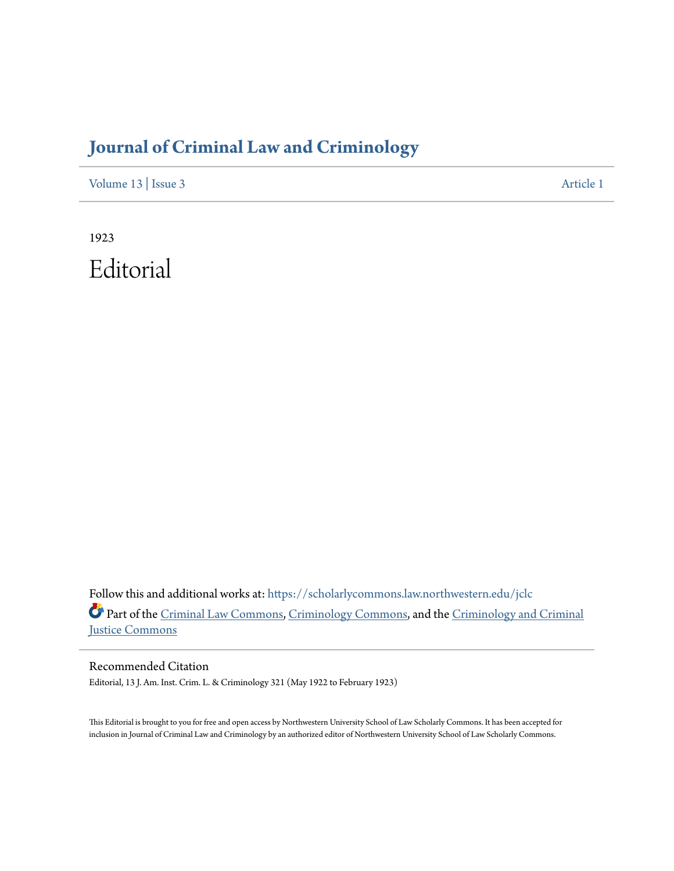# **[Journal of Criminal Law and Criminology](https://scholarlycommons.law.northwestern.edu/jclc?utm_source=scholarlycommons.law.northwestern.edu%2Fjclc%2Fvol13%2Fiss3%2F1&utm_medium=PDF&utm_campaign=PDFCoverPages)**

[Volume 13](https://scholarlycommons.law.northwestern.edu/jclc/vol13?utm_source=scholarlycommons.law.northwestern.edu%2Fjclc%2Fvol13%2Fiss3%2F1&utm_medium=PDF&utm_campaign=PDFCoverPages) | [Issue 3](https://scholarlycommons.law.northwestern.edu/jclc/vol13/iss3?utm_source=scholarlycommons.law.northwestern.edu%2Fjclc%2Fvol13%2Fiss3%2F1&utm_medium=PDF&utm_campaign=PDFCoverPages) [Article 1](https://scholarlycommons.law.northwestern.edu/jclc/vol13/iss3/1?utm_source=scholarlycommons.law.northwestern.edu%2Fjclc%2Fvol13%2Fiss3%2F1&utm_medium=PDF&utm_campaign=PDFCoverPages)

1923 Editorial

Follow this and additional works at: [https://scholarlycommons.law.northwestern.edu/jclc](https://scholarlycommons.law.northwestern.edu/jclc?utm_source=scholarlycommons.law.northwestern.edu%2Fjclc%2Fvol13%2Fiss3%2F1&utm_medium=PDF&utm_campaign=PDFCoverPages) Part of the [Criminal Law Commons](http://network.bepress.com/hgg/discipline/912?utm_source=scholarlycommons.law.northwestern.edu%2Fjclc%2Fvol13%2Fiss3%2F1&utm_medium=PDF&utm_campaign=PDFCoverPages), [Criminology Commons](http://network.bepress.com/hgg/discipline/417?utm_source=scholarlycommons.law.northwestern.edu%2Fjclc%2Fvol13%2Fiss3%2F1&utm_medium=PDF&utm_campaign=PDFCoverPages), and the [Criminology and Criminal](http://network.bepress.com/hgg/discipline/367?utm_source=scholarlycommons.law.northwestern.edu%2Fjclc%2Fvol13%2Fiss3%2F1&utm_medium=PDF&utm_campaign=PDFCoverPages) [Justice Commons](http://network.bepress.com/hgg/discipline/367?utm_source=scholarlycommons.law.northwestern.edu%2Fjclc%2Fvol13%2Fiss3%2F1&utm_medium=PDF&utm_campaign=PDFCoverPages)

Recommended Citation Editorial, 13 J. Am. Inst. Crim. L. & Criminology 321 (May 1922 to February 1923)

This Editorial is brought to you for free and open access by Northwestern University School of Law Scholarly Commons. It has been accepted for inclusion in Journal of Criminal Law and Criminology by an authorized editor of Northwestern University School of Law Scholarly Commons.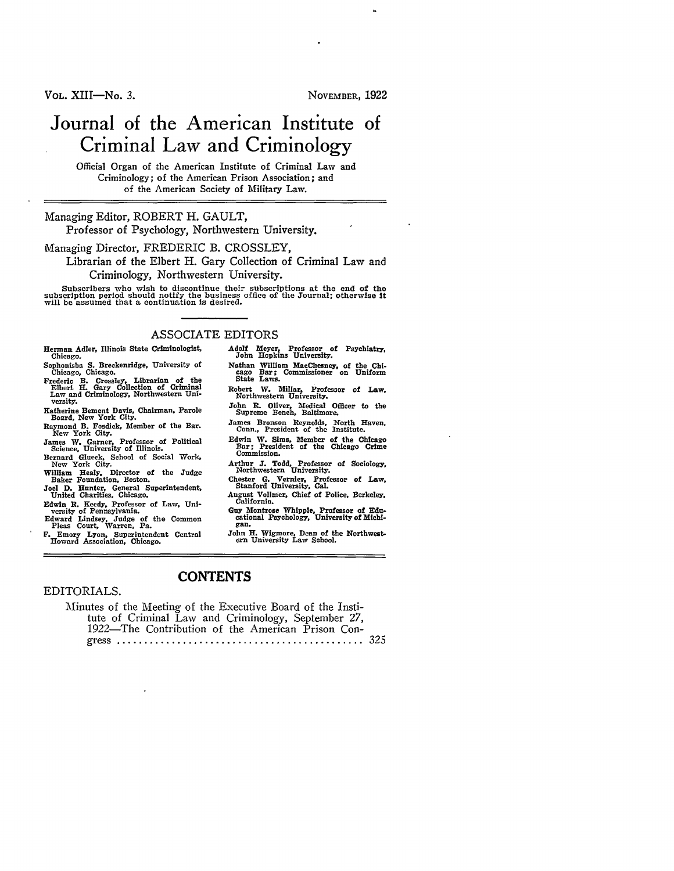VOL. XIII-No. 3. NOVEMBER, 1922

# Journal of the American Institute of Criminal Law and Criminology

Official Organ of the American Institute of Criminal Law and Criminology; of the American Prison Association; and of the American Society of Military Law.

#### Managing Editor, ROBERT H. **GAULT,**

Professor of Psychology, Northwestern University.

Managing Director, FREDERIC B. CROSSLEY,

Librarian of the Elbert H. Gary Collection of Criminal Law and Criminology, Northwestern University.

Subscribers who wish to discontinue their subscriptions at the end of the subscription period should notify the business office of the Journal; otherwise it will be assumed that a continuation is desired.

#### ASSOCIATE EDITORS

- Herman Adler, Illinois State Criminologist Chicago.
- 
- Sophonisba **S. Breckenridge, University of** Chicago, Chicago.<br>Frederic B. Crossley, Librarian of the Elbert H. Gary Collection of Criminal Law and Criminology, Northwestern Uni-<br>versity.
- 
- Katherine Bement Davis, Chairman, Parole Board, New York City. Raymond B. Fosdick, Member of the Bar. New York City.
- James **W.** Garner, Professor of Political Science, University of Illinois. Bernard Glueck, School of Social Work, New York City. William Healy, Director of the Judge Baker Foundation, Boston.
- 
- 
- Joel D. Hunter, General Superintendent, United Charities, Chicago.
- Edwin **R.** Keedy, Professor of Law, Uni-versity of Pennsylvania.
- Edward Lindsey, Judge of the Common Pleas Court, Warren, Pa.
- F. Emory Lyon, Superintendent Central Howard Association, Chicago.
- Adolf Meyer, Professor of Psychiatry, John Hopkins University.
- Nathan William MacChesney, of the **Chi-**cago Bar; Commissioner on Uniform State Laws.
- Robert **W.** Millar, Professor of Law, Northwestern University.
- John **R.** Oliver, Medical Officer to the Supreme Bench, Baltimore.
- James Bronson Reynolds, North Haven, Conn., President of the Institute.
- Edwin W. Sims, Member of the Chicago Bar; President of the Chicago Crime Commission.
- Arthur **J.** Todd, Professor of Sociology, Northwestern University.
- Chester **G.** Vernier, Professor of Law, Stanford University, Cal.
- August Vollmer, Chief of Police, Berkeley, California.
- Guy Montrose Whipple, Professor of **Edu-**cational Psychology, University of Michi- gan.
- John H. Wigmore, Dean of the Northwest-<br>ern University Law School.

#### EDITORIALS.

| Minutes of the Meeting of the Executive Board of the Insti- |  |
|-------------------------------------------------------------|--|
| tute of Criminal Law and Criminology, September 27,         |  |
| 1922—The Contribution of the American Prison Con-           |  |
|                                                             |  |

**CONTENTS**